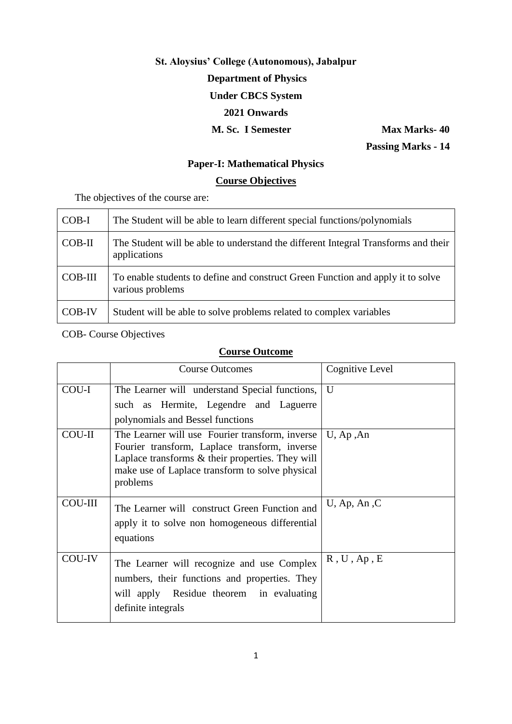# **St. Aloysius' College (Autonomous), Jabalpur Department of Physics Under CBCS System 2021 Onwards M.** Sc. I Semester Max Marks- 40

 **Passing Marks - 14**

## **Paper-I: Mathematical Physics**

# **Course Objectives**

The objectives of the course are:

| $COB-I$  | The Student will be able to learn different special functions/polynomials                           |
|----------|-----------------------------------------------------------------------------------------------------|
| $COB-II$ | The Student will be able to understand the different Integral Transforms and their<br>applications  |
| COB-III  | To enable students to define and construct Green Function and apply it to solve<br>various problems |
| COB-IV   | Student will be able to solve problems related to complex variables                                 |

## COB- Course Objectives

|                | <b>Course Outcomes</b>                                                                                                                                                                                              | Cognitive Level |
|----------------|---------------------------------------------------------------------------------------------------------------------------------------------------------------------------------------------------------------------|-----------------|
| COU-I          | The Learner will understand Special functions,<br>such as Hermite, Legendre and Laguerre<br>polynomials and Bessel functions                                                                                        | U               |
| <b>COU-II</b>  | The Learner will use Fourier transform, inverse<br>Fourier transform, Laplace transform, inverse<br>Laplace transforms & their properties. They will<br>make use of Laplace transform to solve physical<br>problems | $U$ , Ap , An   |
| <b>COU-III</b> | The Learner will construct Green Function and<br>apply it to solve non homogeneous differential<br>equations                                                                                                        | $U$ , Ap, An, C |
| COU-IV         | The Learner will recognize and use Complex<br>numbers, their functions and properties. They<br>will apply Residue theorem in evaluating<br>definite integrals                                                       | R, U, Ap, E     |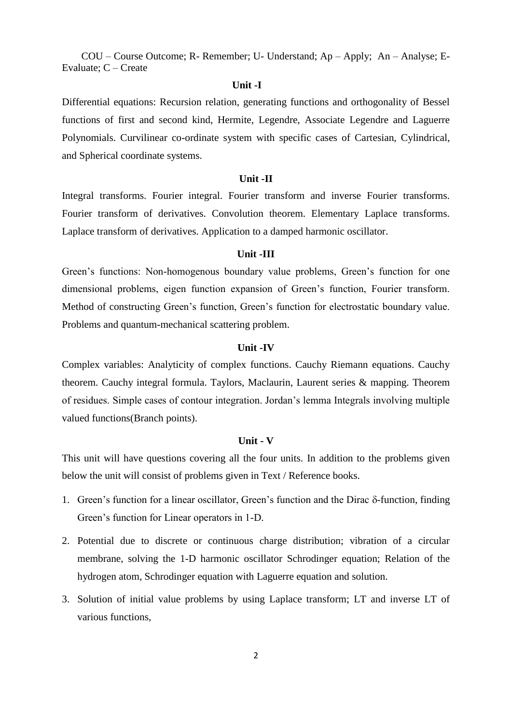## **Unit -I**

Differential equations: Recursion relation, generating functions and orthogonality of Bessel functions of first and second kind, Hermite, Legendre, Associate Legendre and Laguerre Polynomials. Curvilinear co-ordinate system with specific cases of Cartesian, Cylindrical, and Spherical coordinate systems.

#### **Unit -II**

Integral transforms. Fourier integral. Fourier transform and inverse Fourier transforms. Fourier transform of derivatives. Convolution theorem. Elementary Laplace transforms. Laplace transform of derivatives. Application to a damped harmonic oscillator.

## **Unit -III**

Green"s functions: Non-homogenous boundary value problems, Green"s function for one dimensional problems, eigen function expansion of Green"s function, Fourier transform. Method of constructing Green"s function, Green"s function for electrostatic boundary value. Problems and quantum-mechanical scattering problem.

## **Unit -IV**

Complex variables: Analyticity of complex functions. Cauchy Riemann equations. Cauchy theorem. Cauchy integral formula. Taylors, Maclaurin, Laurent series & mapping. Theorem of residues. Simple cases of contour integration. Jordan"s lemma Integrals involving multiple valued functions(Branch points).

## **Unit - V**

This unit will have questions covering all the four units. In addition to the problems given below the unit will consist of problems given in Text / Reference books.

- 1. Green's function for a linear oscillator, Green's function and the Dirac  $\delta$ -function, finding Green"s function for Linear operators in 1-D.
- 2. Potential due to discrete or continuous charge distribution; vibration of a circular membrane, solving the 1-D harmonic oscillator Schrodinger equation; Relation of the hydrogen atom, Schrodinger equation with Laguerre equation and solution.
- 3. Solution of initial value problems by using Laplace transform; LT and inverse LT of various functions,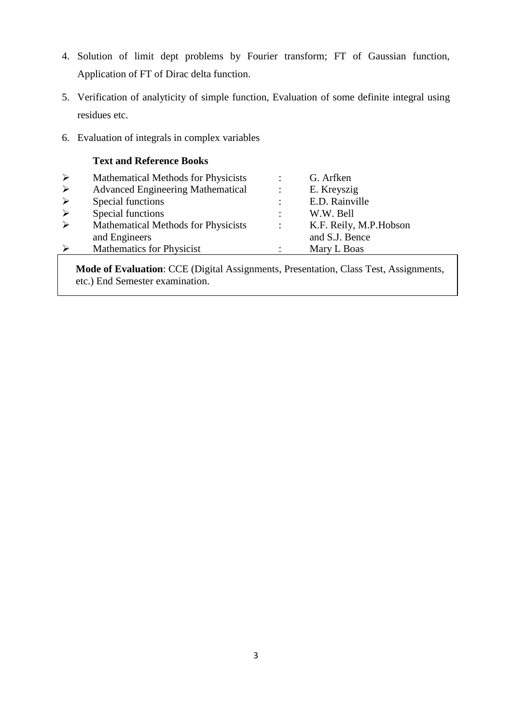- 4. Solution of limit dept problems by Fourier transform; FT of Gaussian function, Application of FT of Dirac delta function.
- 5. Verification of analyticity of simple function, Evaluation of some definite integral using residues etc.
- 6. Evaluation of integrals in complex variables

|                       | <b>Text and Reference Books</b>            |                      |                         |
|-----------------------|--------------------------------------------|----------------------|-------------------------|
| $\blacktriangleright$ | <b>Mathematical Methods for Physicists</b> |                      | G. Arfken               |
| $\blacktriangleright$ | <b>Advanced Engineering Mathematical</b>   | $\ddot{\cdot}$       | E. Kreyszig             |
| $\blacktriangleright$ | Special functions                          | $\ddot{\cdot}$       | E.D. Rainville          |
| $\blacktriangleright$ | Special functions                          | ٠                    | W.W. Bell               |
| $\blacktriangleright$ | <b>Mathematical Methods for Physicists</b> | $\ddot{\phantom{a}}$ | K.F. Reily, M.P. Hobson |
|                       | and Engineers                              |                      | and S.J. Bence          |
| ➤                     | Mathematics for Physicist                  |                      | Mary L Boas             |
|                       |                                            |                      |                         |

 **Mode of Evaluation**: CCE (Digital Assignments, Presentation, Class Test, Assignments, etc.) End Semester examination.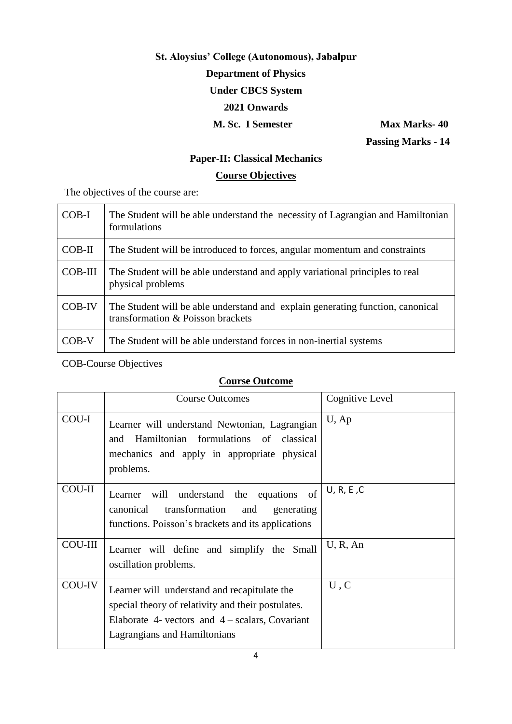# **St. Aloysius' College (Autonomous), Jabalpur Department of Physics Under CBCS System 2021 Onwards**

**M. Sc. I Semester Max Marks-40 Passing Marks - 14**

# **Paper-II: Classical Mechanics**

# **Course Objectives**

The objectives of the course are:

| COB-I    | The Student will be able understand the necessity of Lagrangian and Hamiltonian<br>formulations                     |
|----------|---------------------------------------------------------------------------------------------------------------------|
| $COB-II$ | The Student will be introduced to forces, angular momentum and constraints                                          |
| COB-III  | The Student will be able understand and apply variational principles to real<br>physical problems                   |
| COB-IV   | The Student will be able understand and explain generating function, canonical<br>transformation & Poisson brackets |
| COB-V    | The Student will be able understand forces in non-inertial systems                                                  |

COB-Course Objectives

|               | <b>Course Outcomes</b>                                                                                                                                                                  | Cognitive Level |
|---------------|-----------------------------------------------------------------------------------------------------------------------------------------------------------------------------------------|-----------------|
| COU-I         | Learner will understand Newtonian, Lagrangian<br>and Hamiltonian formulations of classical<br>mechanics and apply in appropriate physical<br>problems.                                  | $U$ , Ap        |
| <b>COU-II</b> | Learner will understand the equations of<br>canonical transformation<br>and<br>generating<br>functions. Poisson's brackets and its applications                                         | U, R, E, C      |
| COU-III       | Learner will define and simplify the Small<br>oscillation problems.                                                                                                                     | U, R, An        |
| COU-IV        | Learner will understand and recapitulate the<br>special theory of relativity and their postulates.<br>Elaborate 4- vectors and $4$ – scalars, Covariant<br>Lagrangians and Hamiltonians | U, C            |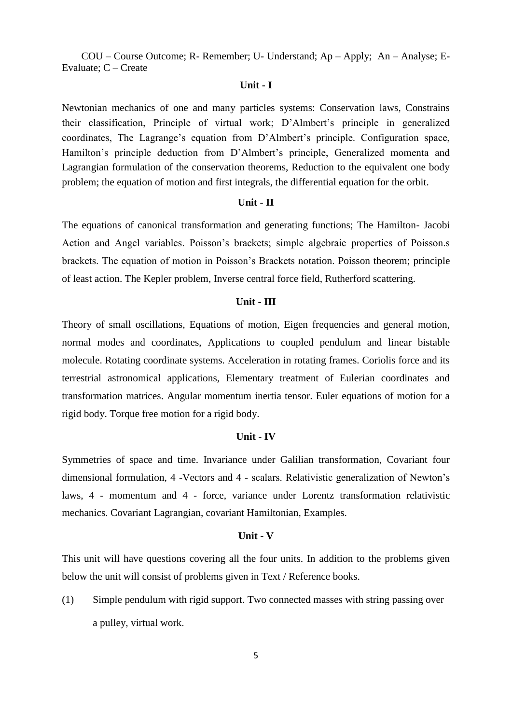#### **Unit - I**

Newtonian mechanics of one and many particles systems: Conservation laws, Constrains their classification, Principle of virtual work; D"Almbert"s principle in generalized coordinates, The Lagrange's equation from D'Almbert's principle. Configuration space, Hamilton's principle deduction from D'Almbert's principle, Generalized momenta and Lagrangian formulation of the conservation theorems, Reduction to the equivalent one body problem; the equation of motion and first integrals, the differential equation for the orbit.

#### **Unit - II**

The equations of canonical transformation and generating functions; The Hamilton- Jacobi Action and Angel variables. Poisson"s brackets; simple algebraic properties of Poisson.s brackets. The equation of motion in Poisson"s Brackets notation. Poisson theorem; principle of least action. The Kepler problem, Inverse central force field, Rutherford scattering.

#### **Unit - III**

Theory of small oscillations, Equations of motion, Eigen frequencies and general motion, normal modes and coordinates, Applications to coupled pendulum and linear bistable molecule. Rotating coordinate systems. Acceleration in rotating frames. Coriolis force and its terrestrial astronomical applications, Elementary treatment of Eulerian coordinates and transformation matrices. Angular momentum inertia tensor. Euler equations of motion for a rigid body. Torque free motion for a rigid body.

### **Unit - IV**

Symmetries of space and time. Invariance under Galilian transformation, Covariant four dimensional formulation, 4 -Vectors and 4 - scalars. Relativistic generalization of Newton"s laws, 4 - momentum and 4 - force, variance under Lorentz transformation relativistic mechanics. Covariant Lagrangian, covariant Hamiltonian, Examples.

### **Unit - V**

This unit will have questions covering all the four units. In addition to the problems given below the unit will consist of problems given in Text / Reference books.

(1) Simple pendulum with rigid support. Two connected masses with string passing over a pulley, virtual work.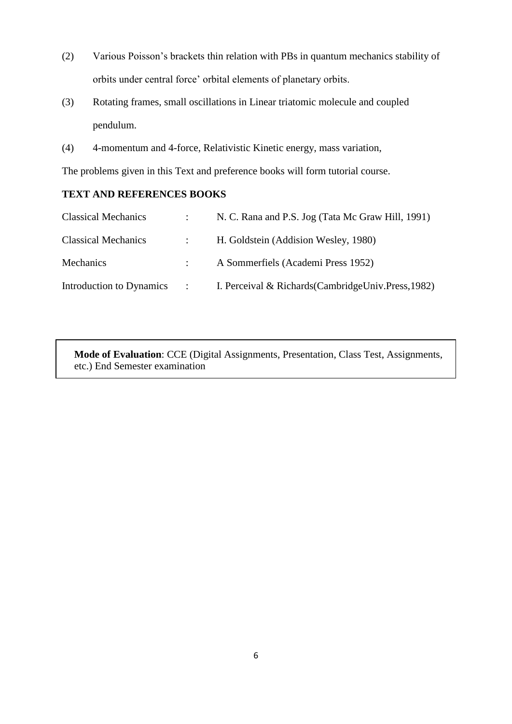- (2) Various Poisson"s brackets thin relation with PBs in quantum mechanics stability of orbits under central force" orbital elements of planetary orbits.
- (3) Rotating frames, small oscillations in Linear triatomic molecule and coupled pendulum.
- (4) 4-momentum and 4-force, Relativistic Kinetic energy, mass variation,

The problems given in this Text and preference books will form tutorial course.

## **TEXT AND REFERENCES BOOKS**

| <b>Classical Mechanics</b> | $\mathcal{L}$                   | N. C. Rana and P.S. Jog (Tata Mc Graw Hill, 1991)    |
|----------------------------|---------------------------------|------------------------------------------------------|
| <b>Classical Mechanics</b> | $\mathcal{L}$ and $\mathcal{L}$ | H. Goldstein (Addision Wesley, 1980)                 |
| <b>Mechanics</b>           |                                 | A Sommerfiels (Academi Press 1952)                   |
| Introduction to Dynamics   | $\sim 1000$ km s $^{-1}$        | I. Perceival & Richards (CambridgeUniv. Press, 1982) |

 **Mode of Evaluation**: CCE (Digital Assignments, Presentation, Class Test, Assignments, etc.) End Semester examination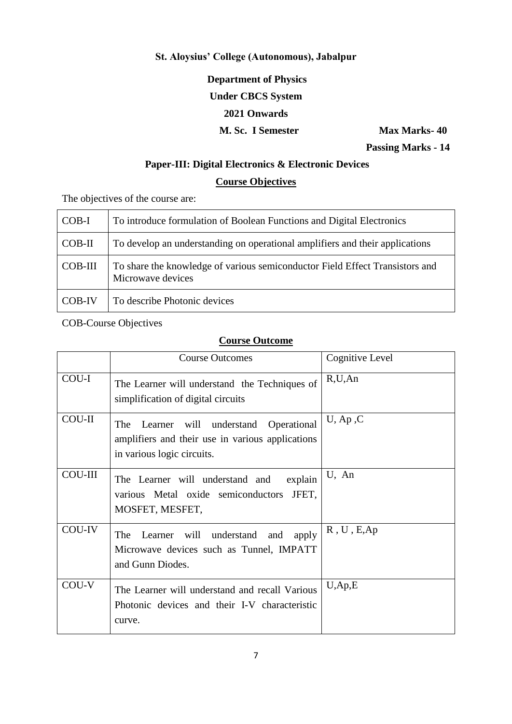# **St. Aloysius' College (Autonomous), Jabalpur**

**Department of Physics**

# **Under CBCS System**

## **2021 Onwards**

# **M. Sc. I Semester Max Marks-40**

 **Passing Marks - 14**

# **Paper-III: Digital Electronics & Electronic Devices**

## **Course Objectives**

The objectives of the course are:

| $COB-I$  | To introduce formulation of Boolean Functions and Digital Electronics                             |
|----------|---------------------------------------------------------------------------------------------------|
| $COB-II$ | To develop an understanding on operational amplifiers and their applications                      |
| COB-III  | To share the knowledge of various semiconductor Field Effect Transistors and<br>Microwave devices |
| COB-IV   | To describe Photonic devices                                                                      |

COB-Course Objectives

|                | <b>Course Outcomes</b>                                                                                                          | Cognitive Level         |
|----------------|---------------------------------------------------------------------------------------------------------------------------------|-------------------------|
| COU-I          | The Learner will understand the Techniques of<br>simplification of digital circuits                                             | R, U, An                |
| <b>COU-II</b>  | Operational<br>Learner will understand<br>The<br>amplifiers and their use in various applications<br>in various logic circuits. | $U$ , Ap, C             |
| <b>COU-III</b> | explain<br>The Learner will understand and<br>various Metal oxide semiconductors<br>JFET.<br>MOSFET, MESFET,                    | U, An                   |
| <b>COU-IV</b>  | The Learner will understand and<br>apply<br>Microwave devices such as Tunnel, IMPATT<br>and Gunn Diodes.                        | R, U, E, Ap             |
| COU-V          | The Learner will understand and recall Various<br>Photonic devices and their I-V characteristic<br>curve.                       | $U$ , Ap <sub>,</sub> E |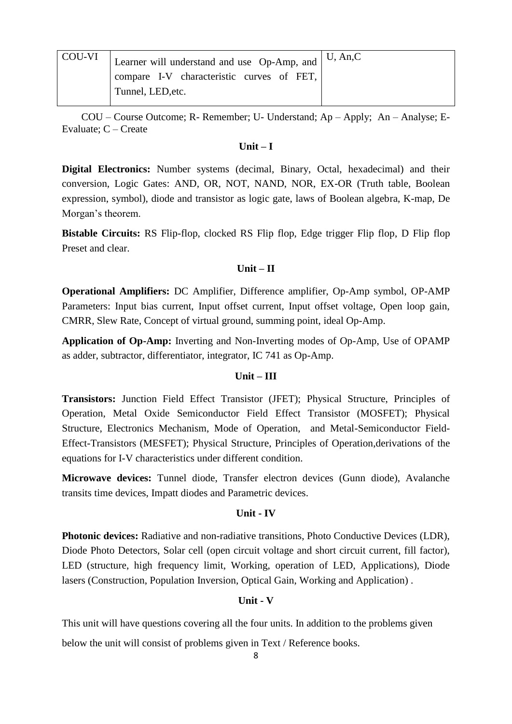| COU-VI | Learner will understand and use Op-Amp, and $\vert$ U, An,C |
|--------|-------------------------------------------------------------|
|        | compare I-V characteristic curves of FET,                   |
|        | Tunnel, LED, etc.                                           |

## **Unit – I**

**Digital Electronics:** Number systems (decimal, Binary, Octal, hexadecimal) and their conversion, Logic Gates: AND, OR, NOT, NAND, NOR, EX-OR (Truth table, Boolean expression, symbol), diode and transistor as logic gate, laws of Boolean algebra, K-map, De Morgan's theorem.

**Bistable Circuits:** RS Flip-flop, clocked RS Flip flop, Edge trigger Flip flop, D Flip flop Preset and clear.

## **Unit – II**

**Operational Amplifiers:** DC Amplifier, Difference amplifier, Op-Amp symbol, OP-AMP Parameters: Input bias current, Input offset current, Input offset voltage, Open loop gain, CMRR, Slew Rate, Concept of virtual ground, summing point, ideal Op-Amp.

**Application of Op-Amp:** Inverting and Non-Inverting modes of Op-Amp, Use of OPAMP as adder, subtractor, differentiator, integrator, IC 741 as Op-Amp.

## **Unit – III**

**Transistors:** Junction Field Effect Transistor (JFET); Physical Structure, Principles of Operation, Metal Oxide Semiconductor Field Effect Transistor (MOSFET); Physical Structure, Electronics Mechanism, Mode of Operation, and Metal-Semiconductor Field-Effect-Transistors (MESFET); Physical Structure, Principles of Operation,derivations of the equations for I-V characteristics under different condition.

**Microwave devices:** Tunnel diode, Transfer electron devices (Gunn diode), Avalanche transits time devices, Impatt diodes and Parametric devices.

## **Unit - IV**

**Photonic devices:** Radiative and non-radiative transitions, Photo Conductive Devices (LDR), Diode Photo Detectors, Solar cell (open circuit voltage and short circuit current, fill factor), LED (structure, high frequency limit, Working, operation of LED, Applications), Diode lasers (Construction, Population Inversion, Optical Gain, Working and Application) .

## **Unit - V**

This unit will have questions covering all the four units. In addition to the problems given below the unit will consist of problems given in Text / Reference books.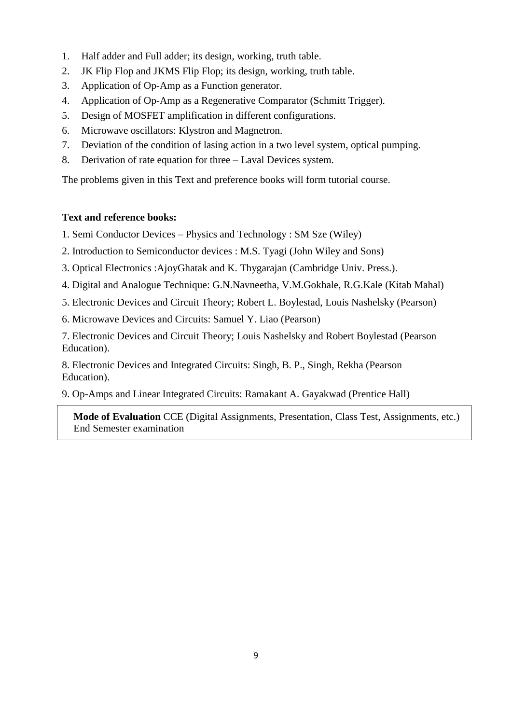- 1. Half adder and Full adder; its design, working, truth table.
- 2. JK Flip Flop and JKMS Flip Flop; its design, working, truth table.
- 3. Application of Op-Amp as a Function generator.
- 4. Application of Op-Amp as a Regenerative Comparator (Schmitt Trigger).
- 5. Design of MOSFET amplification in different configurations.
- 6. Microwave oscillators: Klystron and Magnetron.
- 7. Deviation of the condition of lasing action in a two level system, optical pumping.
- 8. Derivation of rate equation for three Laval Devices system.

The problems given in this Text and preference books will form tutorial course.

## **Text and reference books:**

- 1. Semi Conductor Devices Physics and Technology : SM Sze (Wiley)
- 2. Introduction to Semiconductor devices : M.S. Tyagi (John Wiley and Sons)
- 3. Optical Electronics :AjoyGhatak and K. Thygarajan (Cambridge Univ. Press.).
- 4. Digital and Analogue Technique: G.N.Navneetha, V.M.Gokhale, R.G.Kale (Kitab Mahal)
- 5. Electronic Devices and Circuit Theory; Robert L. Boylestad, Louis Nashelsky (Pearson)
- 6. Microwave Devices and Circuits: Samuel Y. Liao (Pearson)

7. Electronic Devices and Circuit Theory; Louis Nashelsky and Robert Boylestad (Pearson Education).

8. Electronic Devices and Integrated Circuits: Singh, B. P., Singh, Rekha (Pearson Education).

9. Op-Amps and Linear Integrated Circuits: Ramakant A. Gayakwad (Prentice Hall)

 **Mode of Evaluation** CCE (Digital Assignments, Presentation, Class Test, Assignments, etc.) End Semester examination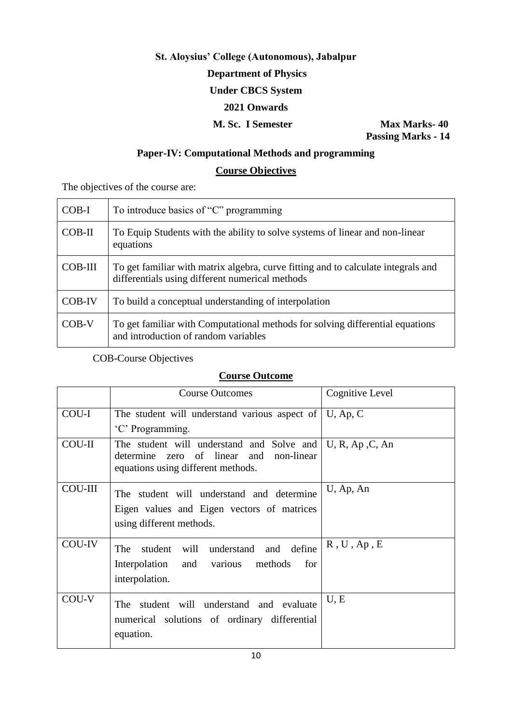# **St. Aloysius' College (Autonomous), Jabalpur Department of Physics Under CBCS System 2021 Onwards M. Sc. I Semester Max Marks-40**

 **Passing Marks - 14**

# **Paper-IV: Computational Methods and programming**

# **Course Objectives**

The objectives of the course are:

| $COB-I$        | To introduce basics of "C" programming                                                                                               |
|----------------|--------------------------------------------------------------------------------------------------------------------------------------|
| $COB-II$       | To Equip Students with the ability to solve systems of linear and non-linear<br>equations                                            |
| <b>COB-III</b> | To get familiar with matrix algebra, curve fitting and to calculate integrals and<br>differentials using different numerical methods |
| <b>COB-IV</b>  | To build a conceptual understanding of interpolation                                                                                 |
| COB-V          | To get familiar with Computational methods for solving differential equations<br>and introduction of random variables                |

COB-Course Objectives

|                | <b>Course Outcomes</b>                                                                                                                              | Cognitive Level |
|----------------|-----------------------------------------------------------------------------------------------------------------------------------------------------|-----------------|
| COU-I          | The student will understand various aspect of $\vert$ U, Ap, C                                                                                      |                 |
|                | 'C' Programming.                                                                                                                                    |                 |
| <b>COU-II</b>  | The student will understand and Solve and $\cup$ , R, Ap, C, An<br>zero of linear and non-linear<br>determine<br>equations using different methods. |                 |
| <b>COU-III</b> | The student will understand and determine                                                                                                           | U, Ap, An       |
|                | Eigen values and Eigen vectors of matrices                                                                                                          |                 |
|                | using different methods.                                                                                                                            |                 |
| COU-IV         | student will understand and define<br><b>The</b>                                                                                                    | R, U, Ap, E     |
|                | Interpolation and various methods<br>for                                                                                                            |                 |
|                | interpolation.                                                                                                                                      |                 |
| COU-V          | student will understand and evaluate<br>The                                                                                                         | U, E            |
|                | numerical solutions of ordinary differential                                                                                                        |                 |
|                | equation.                                                                                                                                           |                 |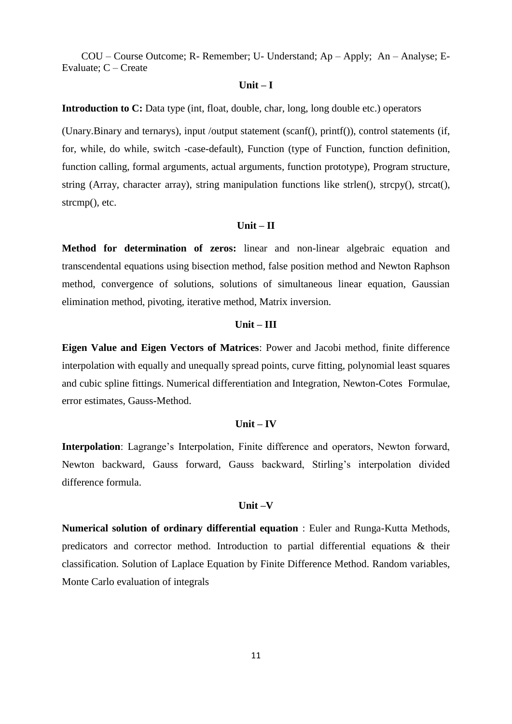#### **Unit – I**

**Introduction to C:** Data type (int, float, double, char, long, long double etc.) operators

(Unary.Binary and ternarys), input /output statement (scanf(), printf()), control statements (if, for, while, do while, switch -case-default), Function (type of Function, function definition, function calling, formal arguments, actual arguments, function prototype), Program structure, string (Array, character array), string manipulation functions like strlen(), strcpy(), strcat(), strcmp(), etc.

## **Unit – II**

**Method for determination of zeros:** linear and non-linear algebraic equation and transcendental equations using bisection method, false position method and Newton Raphson method, convergence of solutions, solutions of simultaneous linear equation, Gaussian elimination method, pivoting, iterative method, Matrix inversion.

#### **Unit – III**

**Eigen Value and Eigen Vectors of Matrices**: Power and Jacobi method, finite difference interpolation with equally and unequally spread points, curve fitting, polynomial least squares and cubic spline fittings. Numerical differentiation and Integration, Newton-Cotes Formulae, error estimates, Gauss-Method.

#### **Unit – IV**

**Interpolation**: Lagrange's Interpolation, Finite difference and operators, Newton forward, Newton backward, Gauss forward, Gauss backward, Stirling"s interpolation divided difference formula.

### **Unit –V**

**Numerical solution of ordinary differential equation** : Euler and Runga-Kutta Methods, predicators and corrector method. Introduction to partial differential equations & their classification. Solution of Laplace Equation by Finite Difference Method. Random variables, Monte Carlo evaluation of integrals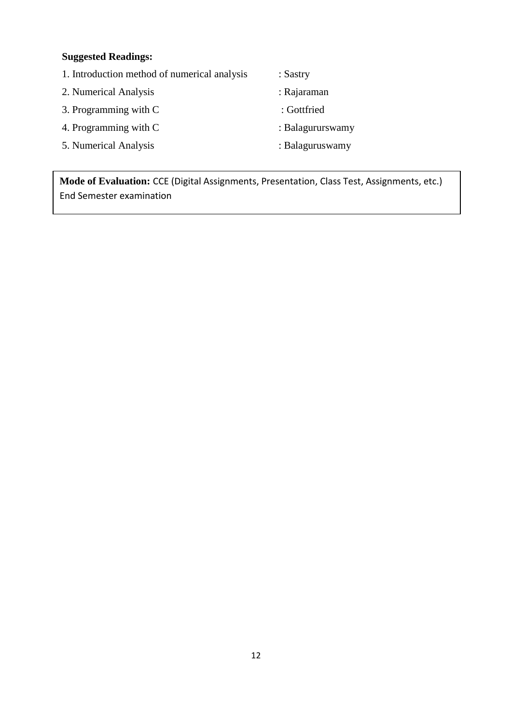# **Suggested Readings:**

- 1. Introduction method of numerical analysis : Sastry
- 2. Numerical Analysis : Rajaraman
- 3. Programming with C : Gottfried
- 4. Programming with C : Balagururswamy
- 5. Numerical Analysis : Balaguruswamy
- 
- 
- 
- -

**Mode of Evaluation:** CCE (Digital Assignments, Presentation, Class Test, Assignments, etc.) End Semester examination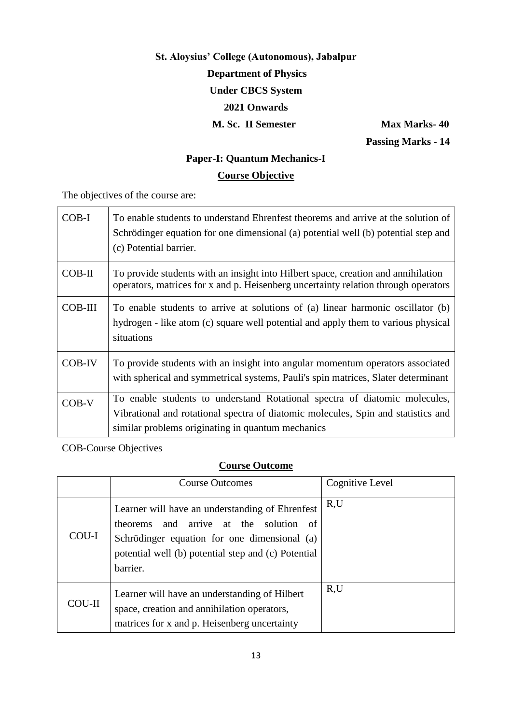# **St. Aloysius' College (Autonomous), Jabalpur Department of Physics Under CBCS System 2021 Onwards M. Sc. II Semester Max Marks-40**

 **Passing Marks - 14**

# **Paper-I: Quantum Mechanics-I Course Objective**

The objectives of the course are:

| $COB-I$        | To enable students to understand Ehrenfest theorems and arrive at the solution of<br>Schrödinger equation for one dimensional (a) potential well (b) potential step and<br>(c) Potential barrier.                    |
|----------------|----------------------------------------------------------------------------------------------------------------------------------------------------------------------------------------------------------------------|
| $COB-II$       | To provide students with an insight into Hilbert space, creation and annihilation<br>operators, matrices for x and p. Heisenberg uncertainty relation through operators                                              |
| <b>COB-III</b> | To enable students to arrive at solutions of (a) linear harmonic oscillator (b)<br>hydrogen - like atom (c) square well potential and apply them to various physical<br>situations                                   |
| <b>COB-IV</b>  | To provide students with an insight into angular momentum operators associated<br>with spherical and symmetrical systems, Pauli's spin matrices, Slater determinant                                                  |
| $COB-V$        | To enable students to understand Rotational spectra of diatomic molecules,<br>Vibrational and rotational spectra of diatomic molecules, Spin and statistics and<br>similar problems originating in quantum mechanics |

COB-Course Objectives

|               | <b>Course Outcomes</b>                                                                                                                                                                                            | Cognitive Level |
|---------------|-------------------------------------------------------------------------------------------------------------------------------------------------------------------------------------------------------------------|-----------------|
| COU-I         | Learner will have an understanding of Ehrenfest<br>theorems and arrive at the solution<br>- of<br>Schrödinger equation for one dimensional (a)<br>potential well (b) potential step and (c) Potential<br>barrier. | R,U             |
| <b>COU-II</b> | Learner will have an understanding of Hilbert<br>space, creation and annihilation operators,<br>matrices for x and p. Heisenberg uncertainty                                                                      | R,U             |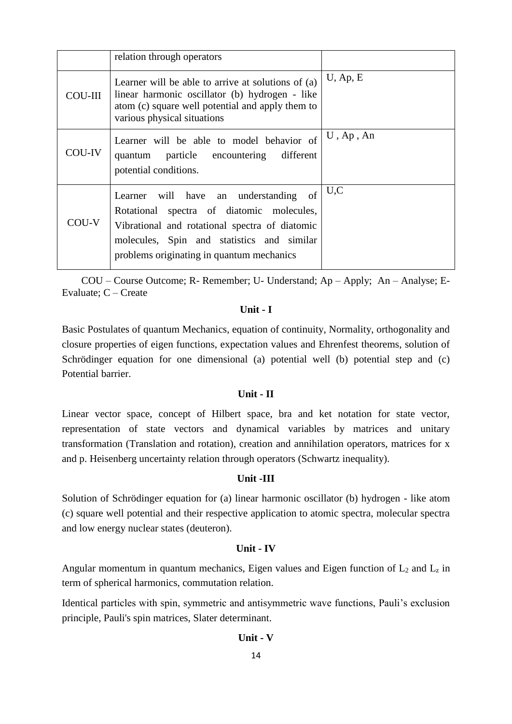|                | relation through operators                                                                                                                                                                                                      |              |
|----------------|---------------------------------------------------------------------------------------------------------------------------------------------------------------------------------------------------------------------------------|--------------|
| <b>COU-III</b> | Learner will be able to arrive at solutions of (a)<br>linear harmonic oscillator (b) hydrogen - like<br>atom (c) square well potential and apply them to<br>various physical situations                                         | $U$ , Ap, E  |
| COU-IV         | Learner will be able to model behavior of<br>quantum particle encountering different<br>potential conditions.                                                                                                                   | $U$ , Ap, An |
| COU-V          | Learner will have an understanding of<br>Rotational spectra of diatomic molecules,<br>Vibrational and rotational spectra of diatomic<br>molecules, Spin and statistics and similar<br>problems originating in quantum mechanics | U.C          |

## **Unit - I**

Basic Postulates of quantum Mechanics, equation of continuity, Normality, orthogonality and closure properties of eigen functions, expectation values and Ehrenfest theorems, solution of Schrödinger equation for one dimensional (a) potential well (b) potential step and (c) Potential barrier.

## **Unit - II**

Linear vector space, concept of Hilbert space, bra and ket notation for state vector, representation of state vectors and dynamical variables by matrices and unitary transformation (Translation and rotation), creation and annihilation operators, matrices for x and p. Heisenberg uncertainty relation through operators (Schwartz inequality).

### **Unit -III**

Solution of Schrödinger equation for (a) linear harmonic oscillator (b) hydrogen - like atom (c) square well potential and their respective application to atomic spectra, molecular spectra and low energy nuclear states (deuteron).

#### **Unit - IV**

Angular momentum in quantum mechanics, Eigen values and Eigen function of  $L_2$  and  $L_z$  in term of spherical harmonics, commutation relation.

Identical particles with spin, symmetric and antisymmetric wave functions, Pauli's exclusion principle, Pauli's spin matrices, Slater determinant.

## **Unit - V**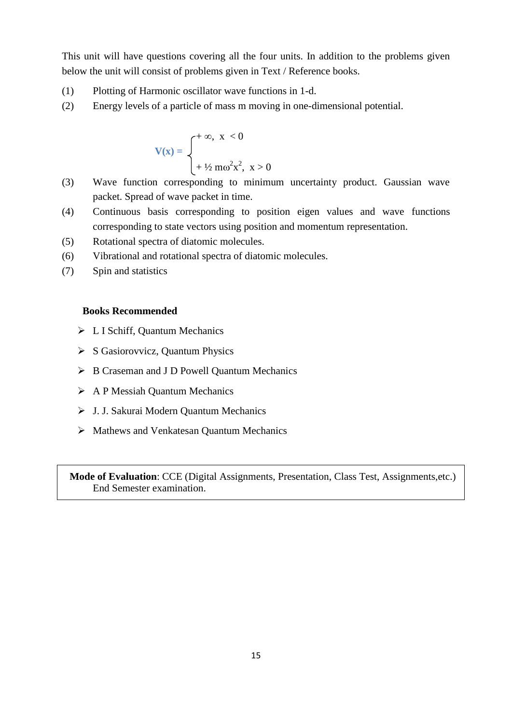This unit will have questions covering all the four units. In addition to the problems given below the unit will consist of problems given in Text / Reference books.

- (1) Plotting of Harmonic oscillator wave functions in 1-d.
- (2) Energy levels of a particle of mass m moving in one-dimensional potential.

$$
V(x) = \begin{cases} +\infty, & x < 0 \\ +\frac{1}{2}m\omega^2 x^2, & x > 0 \end{cases}
$$

- (3) Wave function corresponding to minimum uncertainty product. Gaussian wave packet. Spread of wave packet in time.
- (4) Continuous basis corresponding to position eigen values and wave functions corresponding to state vectors using position and momentum representation.
- (5) Rotational spectra of diatomic molecules.
- (6) Vibrational and rotational spectra of diatomic molecules.
- (7) Spin and statistics

#### **Books Recommended**

- L I Schiff, Quantum Mechanics
- $\triangleright$  S Gasiorovvicz, Quantum Physics
- ▶ B Craseman and J D Powell Quantum Mechanics
- A P Messiah Quantum Mechanics
- J. J. Sakurai Modern Quantum Mechanics
- Mathews and Venkatesan Quantum Mechanics

 **Mode of Evaluation**: CCE (Digital Assignments, Presentation, Class Test, Assignments,etc.) End Semester examination.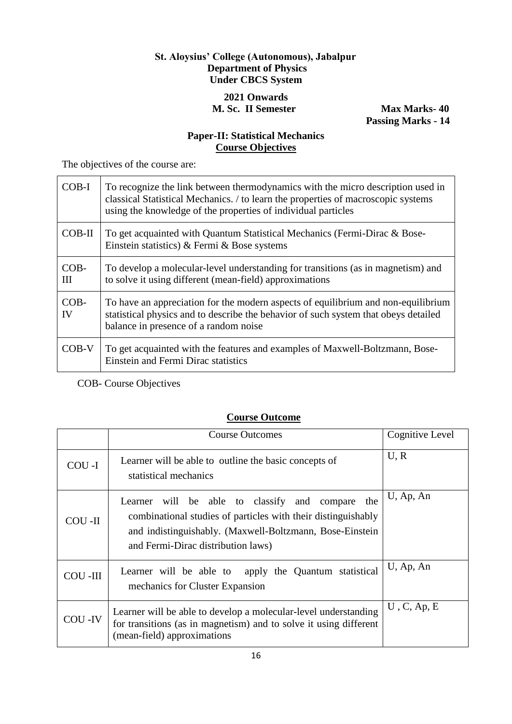# **St. Aloysius' College (Autonomous), Jabalpur Department of Physics Under CBCS System**

## **2021 Onwards M. Sc. II Semester Max Marks-40**

 **Passing Marks - 14**

# **Paper-II: Statistical Mechanics Course Objectives**

The objectives of the course are:

| $COB-I$      | To recognize the link between thermodynamics with the micro description used in<br>classical Statistical Mechanics. / to learn the properties of macroscopic systems<br>using the knowledge of the properties of individual particles |
|--------------|---------------------------------------------------------------------------------------------------------------------------------------------------------------------------------------------------------------------------------------|
| $COB-II$     | To get acquainted with Quantum Statistical Mechanics (Fermi-Dirac & Bose-<br>Einstein statistics) & Fermi & Bose systems                                                                                                              |
| $COB-$<br>Ш  | To develop a molecular-level understanding for transitions (as in magnetism) and<br>to solve it using different (mean-field) approximations                                                                                           |
| $COB-$<br>IV | To have an appreciation for the modern aspects of equilibrium and non-equilibrium<br>statistical physics and to describe the behavior of such system that obeys detailed<br>balance in presence of a random noise                     |
| $COB-V$      | To get acquainted with the features and examples of Maxwell-Boltzmann, Bose-<br>Einstein and Fermi Dirac statistics                                                                                                                   |

COB- Course Objectives

|                | <b>Course Outcomes</b>                                                                                                                                                                                              | Cognitive Level |
|----------------|---------------------------------------------------------------------------------------------------------------------------------------------------------------------------------------------------------------------|-----------------|
| COU-I          | Learner will be able to outline the basic concepts of<br>statistical mechanics                                                                                                                                      | U, R            |
| COU -II        | Learner will be able to classify and compare the<br>combinational studies of particles with their distinguishably<br>and indistinguishably. (Maxwell-Boltzmann, Bose-Einstein<br>and Fermi-Dirac distribution laws) | U, Ap, An       |
| <b>COU-III</b> | Learner will be able to apply the Quantum statistical<br>mechanics for Cluster Expansion                                                                                                                            | U, Ap, An       |
| COU -IV        | Learner will be able to develop a molecular-level understanding<br>for transitions (as in magnetism) and to solve it using different<br>(mean-field) approximations                                                 | $U$ , C, Ap, E  |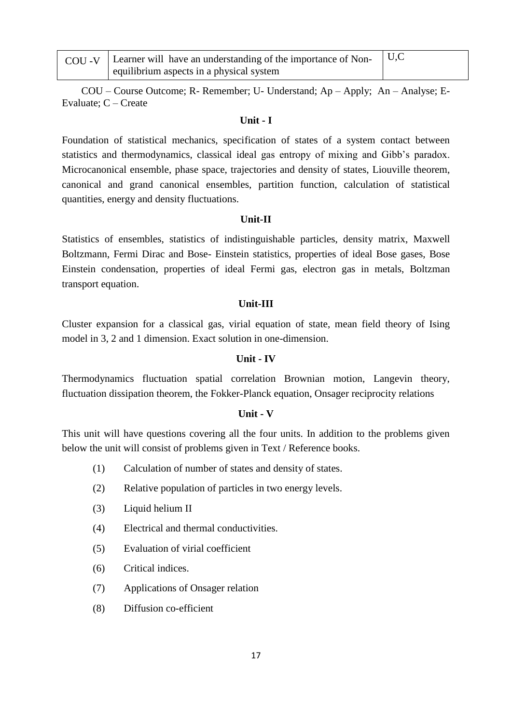| COU -V   Learner will have an understanding of the importance of Non- $\vert$ U,C |  |
|-----------------------------------------------------------------------------------|--|
| equilibrium aspects in a physical system                                          |  |

## **Unit - I**

Foundation of statistical mechanics, specification of states of a system contact between statistics and thermodynamics, classical ideal gas entropy of mixing and Gibb"s paradox. Microcanonical ensemble, phase space, trajectories and density of states, Liouville theorem, canonical and grand canonical ensembles, partition function, calculation of statistical quantities, energy and density fluctuations.

### **Unit-II**

Statistics of ensembles, statistics of indistinguishable particles, density matrix, Maxwell Boltzmann, Fermi Dirac and Bose- Einstein statistics, properties of ideal Bose gases, Bose Einstein condensation, properties of ideal Fermi gas, electron gas in metals, Boltzman transport equation.

### **Unit-III**

Cluster expansion for a classical gas, virial equation of state, mean field theory of Ising model in 3, 2 and 1 dimension. Exact solution in one-dimension.

## **Unit - IV**

Thermodynamics fluctuation spatial correlation Brownian motion, Langevin theory, fluctuation dissipation theorem, the Fokker-Planck equation, Onsager reciprocity relations

### **Unit - V**

This unit will have questions covering all the four units. In addition to the problems given below the unit will consist of problems given in Text / Reference books.

- (1) Calculation of number of states and density of states.
- (2) Relative population of particles in two energy levels.
- (3) Liquid helium II
- (4) Electrical and thermal conductivities.
- (5) Evaluation of virial coefficient
- (6) Critical indices.
- (7) Applications of Onsager relation
- (8) Diffusion co-efficient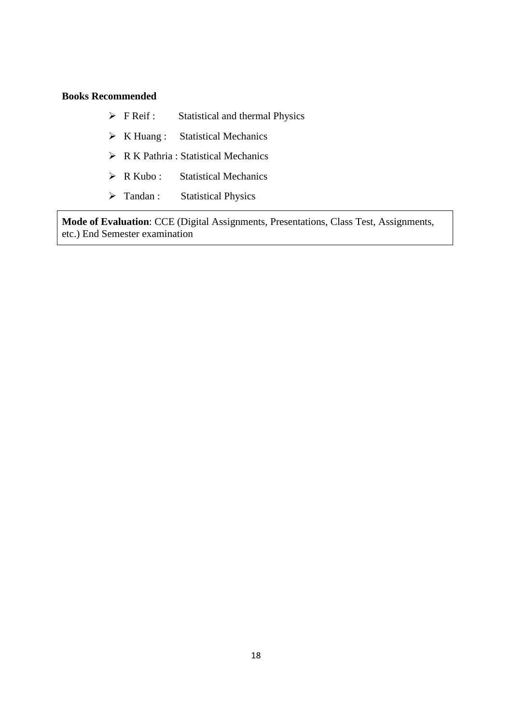## **Books Recommended**

| ≻ | F Reif : | Statistical and thermal Physics |  |
|---|----------|---------------------------------|--|
|   |          |                                 |  |

- K Huang : Statistical Mechanics
- $\triangleright$  R K Pathria : Statistical Mechanics
- > R Kubo : Statistical Mechanics
- > Tandan : Statistical Physics

**Mode of Evaluation**: CCE (Digital Assignments, Presentations, Class Test, Assignments, etc.) End Semester examination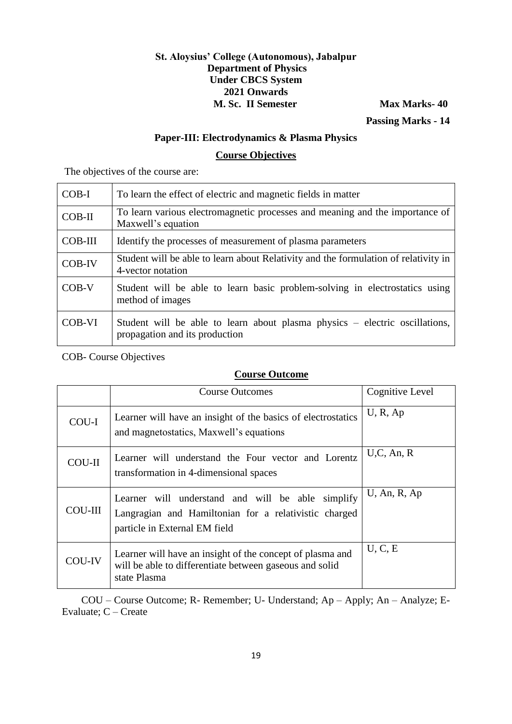## **St. Aloysius' College (Autonomous), Jabalpur Department of Physics Under CBCS System 2021 Onwards M. Sc. II Semester Max Marks-40**

 **Passing Marks - 14**

## **Paper-III: Electrodynamics & Plasma Physics**

## **Course Objectives**

The objectives of the course are:

| COB-I          | To learn the effect of electric and magnetic fields in matter                                                 |  |
|----------------|---------------------------------------------------------------------------------------------------------------|--|
| $COB-II$       | To learn various electromagnetic processes and meaning and the importance of<br>Maxwell's equation            |  |
| <b>COB-III</b> | Identify the processes of measurement of plasma parameters                                                    |  |
| <b>COB-IV</b>  | Student will be able to learn about Relativity and the formulation of relativity in<br>4-vector notation      |  |
| $COB-V$        | Student will be able to learn basic problem-solving in electrostatics using<br>method of images               |  |
| COB-VI         | Student will be able to learn about plasma physics – electric oscillations,<br>propagation and its production |  |

COB- Course Objectives

# **Course Outcome**

|                | <b>Course Outcomes</b>                                                                                                                      | Cognitive Level |
|----------------|---------------------------------------------------------------------------------------------------------------------------------------------|-----------------|
| COU-I          | Learner will have an insight of the basics of electrostatics<br>and magnetostatics, Maxwell's equations                                     | U, R, Ap        |
| <b>COU-II</b>  | Learner will understand the Four vector and Lorentz<br>transformation in 4-dimensional spaces                                               | U, C, An, R     |
| <b>COU-III</b> | Learner will understand and will be able simplify<br>Langragian and Hamiltonian for a relativistic charged<br>particle in External EM field | $U$ , An, R, Ap |
| COU-IV         | Learner will have an insight of the concept of plasma and<br>will be able to differentiate between gaseous and solid<br>state Plasma        | U, C, E         |

COU – Course Outcome; R- Remember; U- Understand; Ap – Apply; An – Analyze; E-Evaluate; C – Create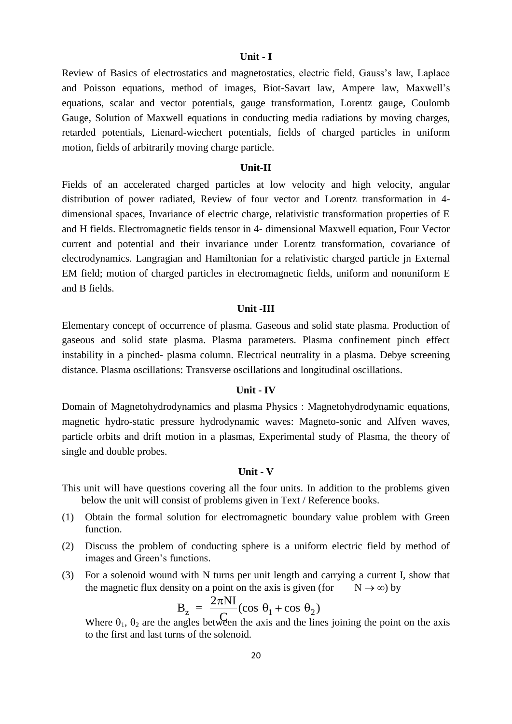#### **Unit - I**

Review of Basics of electrostatics and magnetostatics, electric field, Gauss"s law, Laplace and Poisson equations, method of images, Biot-Savart law, Ampere law, Maxwell"s equations, scalar and vector potentials, gauge transformation, Lorentz gauge, Coulomb Gauge, Solution of Maxwell equations in conducting media radiations by moving charges, retarded potentials, Lienard-wiechert potentials, fields of charged particles in uniform motion, fields of arbitrarily moving charge particle.

#### **Unit-II**

Fields of an accelerated charged particles at low velocity and high velocity, angular distribution of power radiated, Review of four vector and Lorentz transformation in 4 dimensional spaces, Invariance of electric charge, relativistic transformation properties of E and H fields. Electromagnetic fields tensor in 4- dimensional Maxwell equation, Four Vector current and potential and their invariance under Lorentz transformation, covariance of electrodynamics. Langragian and Hamiltonian for a relativistic charged particle jn External EM field; motion of charged particles in electromagnetic fields, uniform and nonuniform E and B fields.

#### **Unit -III**

Elementary concept of occurrence of plasma. Gaseous and solid state plasma. Production of gaseous and solid state plasma. Plasma parameters. Plasma confinement pinch effect instability in a pinched- plasma column. Electrical neutrality in a plasma. Debye screening distance. Plasma oscillations: Transverse oscillations and longitudinal oscillations.

### **Unit - IV**

Domain of Magnetohydrodynamics and plasma Physics : Magnetohydrodynamic equations, magnetic hydro-static pressure hydrodynamic waves: Magneto-sonic and Alfven waves, particle orbits and drift motion in a plasmas, Experimental study of Plasma, the theory of single and double probes.

#### **Unit - V**

- This unit will have questions covering all the four units. In addition to the problems given below the unit will consist of problems given in Text / Reference books.
- (1) Obtain the formal solution for electromagnetic boundary value problem with Green function.
- (2) Discuss the problem of conducting sphere is a uniform electric field by method of images and Green"s functions.
- (3) For a solenoid wound with N turns per unit length and carrying a current I, show that the magnetic flux density on a point on the axis is given (for  $N \to \infty$ ) by

$$
B_z = \frac{2\pi NI}{C} (\cos \theta_1 + \cos \theta_2)
$$

Where  $\theta_1$ ,  $\theta_2$  are the angles between the axis and the lines joining the point on the axis to the first and last turns of the solenoid.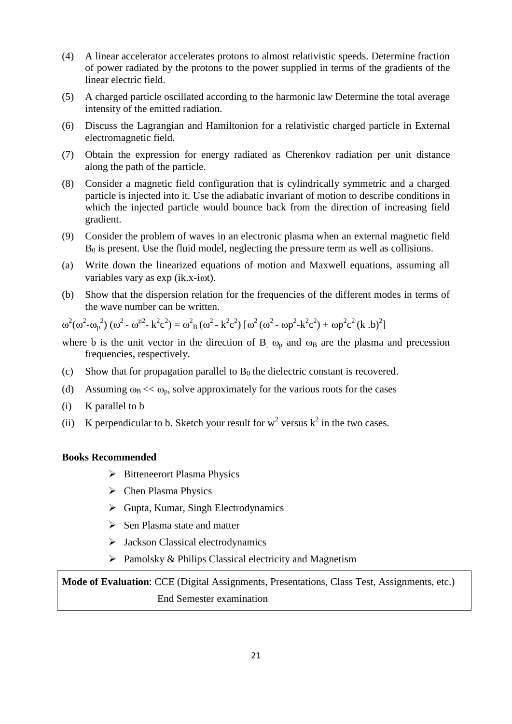- (4) A linear accelerator accelerates protons to almost relativistic speeds. Determine fraction of power radiated by the protons to the power supplied in terms of the gradients of the linear electric field.
- (5) A charged particle oscillated according to the harmonic law Determine the total average intensity of the emitted radiation.
- (6) Discuss the Lagrangian and Hamiltonion for a relativistic charged particle in External electromagnetic field.
- (7) Obtain the expression for energy radiated as Cherenkov radiation per unit distance along the path of the particle.
- (8) Consider a magnetic field configuration that is cylindrically symmetric and a charged particle is injected into it. Use the adiabatic invariant of motion to describe conditions in which the injected particle would bounce back from the direction of increasing field gradient.
- (9) Consider the problem of waves in an electronic plasma when an external magnetic field  $B_0$  is present. Use the fluid model, neglecting the pressure term as well as collisions.
- (a) Write down the linearized equations of motion and Maxwell equations, assuming all variables vary as  $exp(ik.x-i\omega t)$ .
- (b) Show that the dispersion relation for the frequencies of the different modes in terms of the wave number can be written.

 $\omega^2(\omega^2 - \omega_p^2) (\omega^2 - \omega^{p2} - k^2 c^2) = \omega^2 B(\omega^2 - k^2 c^2) [\omega^2 (\omega^2 - \omega p^2 - k^2 c^2) + \omega p^2 c^2 (k \cdot b)^2]$ 

- where b is the unit vector in the direction of B,  $\omega_p$  and  $\omega_B$  are the plasma and precession frequencies, respectively.
- (c) Show that for propagation parallel to  $B_0$  the dielectric constant is recovered.
- (d) Assuming  $\omega_B \ll \omega_p$ , solve approximately for the various roots for the cases
- (i) K parallel to b
- (ii) K perpendicular to b. Sketch your result for  $w^2$  versus  $k^2$  in the two cases.

## **Books Recommended**

- $\triangleright$  Bitteneerort Plasma Physics
- $\triangleright$  Chen Plasma Physics
- $\triangleright$  Gupta, Kumar, Singh Electrodynamics
- $\triangleright$  Sen Plasma state and matter
- $\triangleright$  Jackson Classical electrodynamics
- $\triangleright$  Pamolsky & Philips Classical electricity and Magnetism

**Mode of Evaluation**: CCE (Digital Assignments, Presentations, Class Test, Assignments, etc.) End Semester examination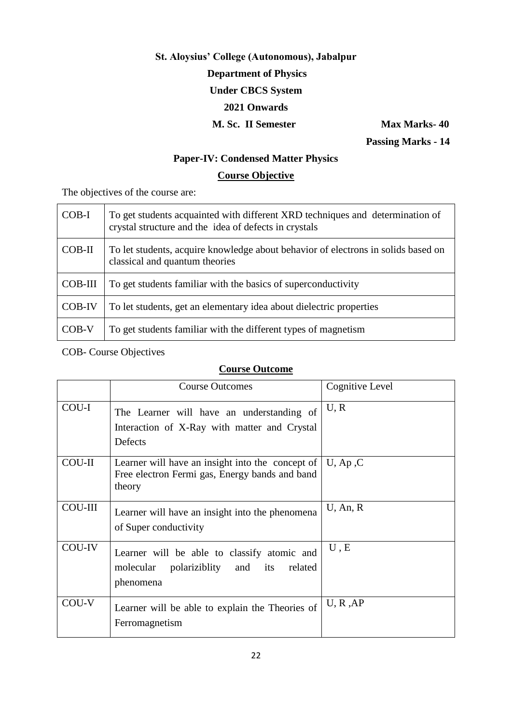# **St. Aloysius' College (Autonomous), Jabalpur Department of Physics Under CBCS System 2021 Onwards M. Sc. II Semester Max Marks-40**

 **Passing Marks - 14**

# **Paper-IV: Condensed Matter Physics**

# **Course Objective**

The objectives of the course are:

| COB-I    | To get students acquainted with different XRD techniques and determination of<br>crystal structure and the idea of defects in crystals |
|----------|----------------------------------------------------------------------------------------------------------------------------------------|
| $COB-II$ | To let students, acquire knowledge about behavior of electrons in solids based on<br>classical and quantum theories                    |
| COB-III  | To get students familiar with the basics of superconductivity                                                                          |
| COB-IV   | To let students, get an elementary idea about dielectric properties                                                                    |
| $COB-V$  | To get students familiar with the different types of magnetism                                                                         |

COB- Course Objectives

|                | <b>Course Outcomes</b>                                                                                       | Cognitive Level |
|----------------|--------------------------------------------------------------------------------------------------------------|-----------------|
| COU-I          | The Learner will have an understanding of<br>Interaction of X-Ray with matter and Crystal<br>Defects         | U, R            |
| <b>COU-II</b>  | Learner will have an insight into the concept of<br>Free electron Fermi gas, Energy bands and band<br>theory | $U$ , Ap, C     |
| <b>COU-III</b> | Learner will have an insight into the phenomena<br>of Super conductivity                                     | $U$ , An, R     |
| COU-IV         | Learner will be able to classify atomic and<br>molecular polariziblity and its<br>related<br>phenomena       | U, E            |
| COU-V          | Learner will be able to explain the Theories of<br>Ferromagnetism                                            | U, R, AP        |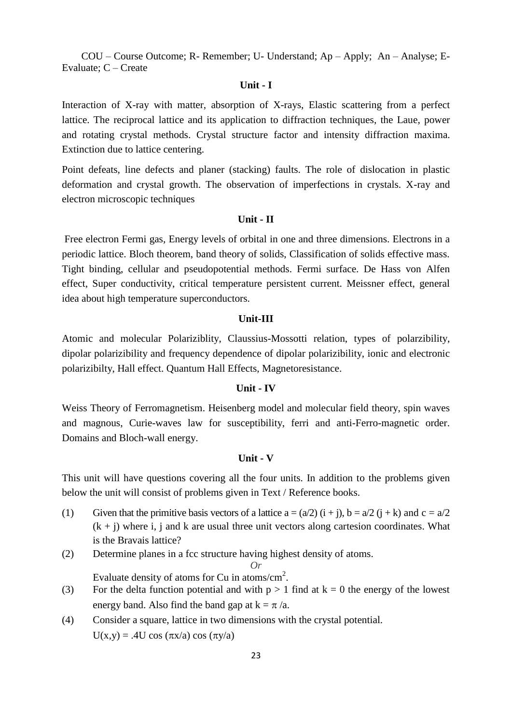## **Unit - I**

Interaction of X-ray with matter, absorption of X-rays, Elastic scattering from a perfect lattice. The reciprocal lattice and its application to diffraction techniques, the Laue, power and rotating crystal methods. Crystal structure factor and intensity diffraction maxima. Extinction due to lattice centering.

Point defeats, line defects and planer (stacking) faults. The role of dislocation in plastic deformation and crystal growth. The observation of imperfections in crystals. X-ray and electron microscopic techniques

#### **Unit - II**

Free electron Fermi gas, Energy levels of orbital in one and three dimensions. Electrons in a periodic lattice. Bloch theorem, band theory of solids, Classification of solids effective mass. Tight binding, cellular and pseudopotential methods. Fermi surface. De Hass von Alfen effect, Super conductivity, critical temperature persistent current. Meissner effect, general idea about high temperature superconductors.

#### **Unit-III**

Atomic and molecular Polariziblity, Claussius-Mossotti relation, types of polarzibility, dipolar polarizibility and frequency dependence of dipolar polarizibility, ionic and electronic polarizibilty, Hall effect. Quantum Hall Effects, Magnetoresistance.

#### **Unit - IV**

Weiss Theory of Ferromagnetism. Heisenberg model and molecular field theory, spin waves and magnous, Curie-waves law for susceptibility, ferri and anti-Ferro-magnetic order. Domains and Bloch-wall energy.

## **Unit - V**

This unit will have questions covering all the four units. In addition to the problems given below the unit will consist of problems given in Text / Reference books.

- (1) Given that the primitive basis vectors of a lattice  $a = (a/2)$   $(i + i)$ ,  $b = a/2$   $(i + k)$  and  $c = a/2$  $(k + j)$  where i, j and k are usual three unit vectors along cartesion coordinates. What is the Bravais lattice?
- (2) Determine planes in a fcc structure having highest density of atoms.

*Or*

Evaluate density of atoms for Cu in atoms/ $\text{cm}^2$ .

- (3) For the delta function potential and with  $p > 1$  find at  $k = 0$  the energy of the lowest energy band. Also find the band gap at  $k = \pi/a$ .
- (4) Consider a square, lattice in two dimensions with the crystal potential.  $U(x,y) = .4U \cos(\pi x/a) \cos(\pi y/a)$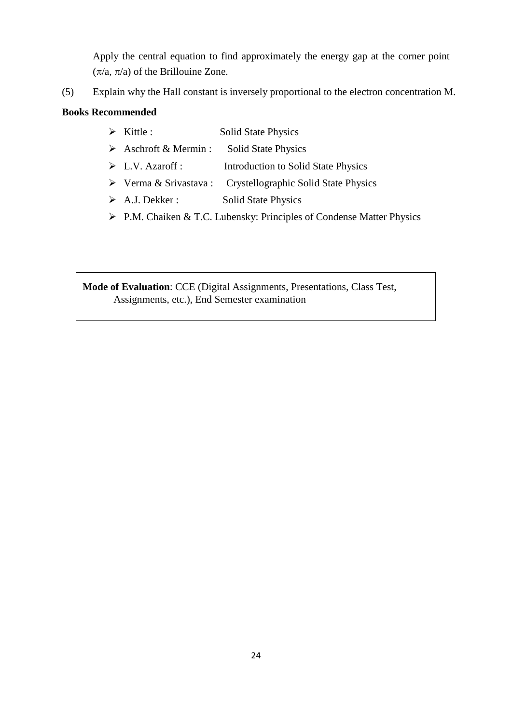Apply the central equation to find approximately the energy gap at the corner point  $(\pi/a, \pi/a)$  of the Brillouine Zone.

(5) Explain why the Hall constant is inversely proportional to the electron concentration M.

# **Books Recommended**

- > Kittle : Solid State Physics
- $\triangleright$  Aschroft & Mermin : Solid State Physics
- L.V. Azaroff : Introduction to Solid State Physics
- Verma & Srivastava : Crystellographic Solid State Physics
- > A.J. Dekker : Solid State Physics
- P.M. Chaiken & T.C. Lubensky: Principles of Condense Matter Physics

**Mode of Evaluation**: CCE (Digital Assignments, Presentations, Class Test, Assignments, etc.), End Semester examination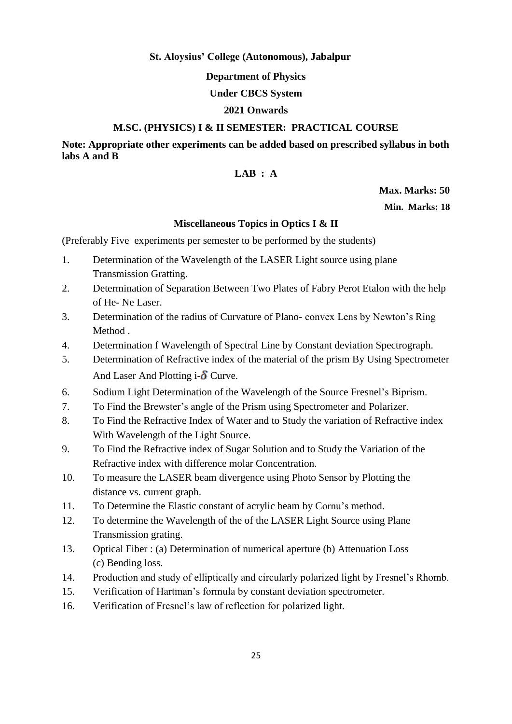## **St. Aloysius' College (Autonomous), Jabalpur**

**Department of Physics**

## **Under CBCS System**

## **2021 Onwards**

## **M.SC. (PHYSICS) I & II SEMESTER: PRACTICAL COURSE**

**Note: Appropriate other experiments can be added based on prescribed syllabus in both labs A and B**

## **LAB : A**

## **Max. Marks: 50**

**Min. Marks: 18**

## **Miscellaneous Topics in Optics I & II**

(Preferably Five experiments per semester to be performed by the students)

- 1. Determination of the Wavelength of the LASER Light source using plane Transmission Gratting.
- 2. Determination of Separation Between Two Plates of Fabry Perot Etalon with the help of He- Ne Laser.
- 3. Determination of the radius of Curvature of Plano- convex Lens by Newton"s Ring Method .
- 4. Determination f Wavelength of Spectral Line by Constant deviation Spectrograph.
- 5. Determination of Refractive index of the material of the prism By Using Spectrometer And Laser And Plotting  $i-\delta$  Curve.
- 6. Sodium Light Determination of the Wavelength of the Source Fresnel"s Biprism.
- 7. To Find the Brewster"s angle of the Prism using Spectrometer and Polarizer.
- 8. To Find the Refractive Index of Water and to Study the variation of Refractive index With Wavelength of the Light Source.
- 9. To Find the Refractive index of Sugar Solution and to Study the Variation of the Refractive index with difference molar Concentration.
- 10. To measure the LASER beam divergence using Photo Sensor by Plotting the distance vs. current graph.
- 11. To Determine the Elastic constant of acrylic beam by Cornu"s method.
- 12. To determine the Wavelength of the of the LASER Light Source using Plane Transmission grating.
- 13. Optical Fiber : (a) Determination of numerical aperture (b) Attenuation Loss (c) Bending loss.
- 14. Production and study of elliptically and circularly polarized light by Fresnel"s Rhomb.
- 15. Verification of Hartman"s formula by constant deviation spectrometer.
- 16. Verification of Fresnel"s law of reflection for polarized light.